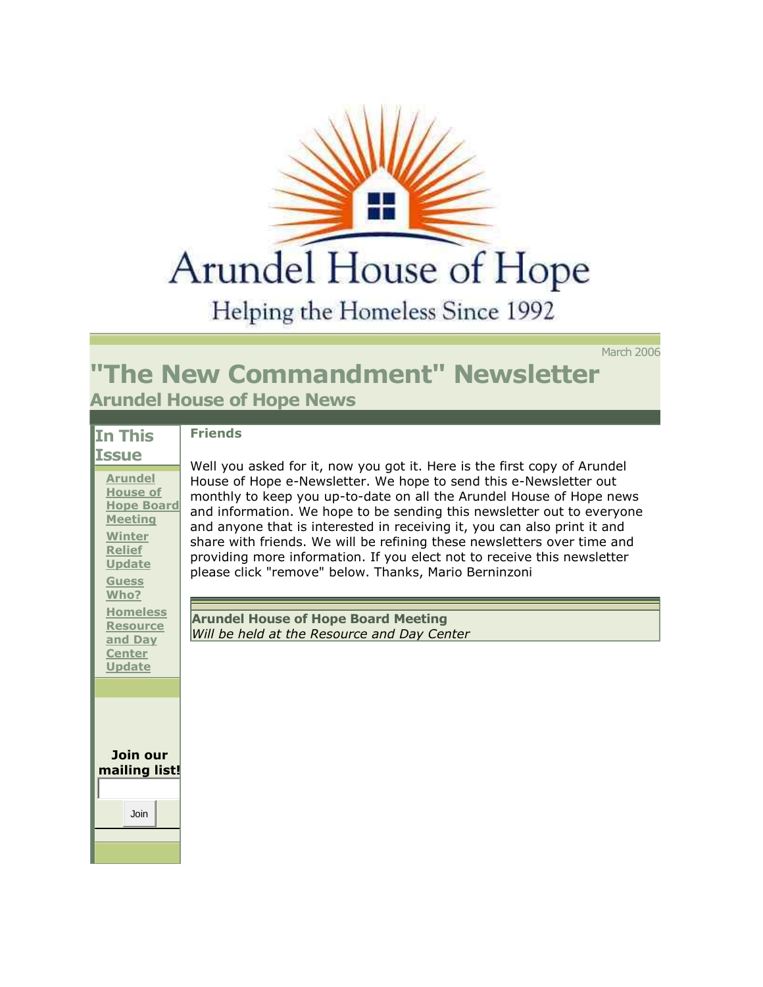

Helping the Homeless Since 1992

March 2006

## **"The New Commandment" Newsletter Arundel House of Hope News**

| In This                                                                                                                                             | <b>Friends</b>                                                                                                                                                                                                                                                                                                                                                                                                                                                                                                 |
|-----------------------------------------------------------------------------------------------------------------------------------------------------|----------------------------------------------------------------------------------------------------------------------------------------------------------------------------------------------------------------------------------------------------------------------------------------------------------------------------------------------------------------------------------------------------------------------------------------------------------------------------------------------------------------|
| <b>Issue</b>                                                                                                                                        | Well you asked for it, now you got it. Here is the first copy of Arundel                                                                                                                                                                                                                                                                                                                                                                                                                                       |
| <b>Arundel</b><br><b>House of</b><br><b>Hope Board</b><br><b>Meeting</b><br><b>Winter</b><br><b>Relief</b><br><b>Update</b><br><b>Guess</b><br>Who? | House of Hope e-Newsletter. We hope to send this e-Newsletter out<br>monthly to keep you up-to-date on all the Arundel House of Hope news<br>and information. We hope to be sending this newsletter out to everyone<br>and anyone that is interested in receiving it, you can also print it and<br>share with friends. We will be refining these newsletters over time and<br>providing more information. If you elect not to receive this newsletter<br>please click "remove" below. Thanks, Mario Berninzoni |
| <b>Homeless</b><br><b>Resource</b>                                                                                                                  | <b>Arundel House of Hope Board Meeting</b>                                                                                                                                                                                                                                                                                                                                                                                                                                                                     |
| and Day<br><b>Center</b><br><b>Update</b>                                                                                                           | Will be held at the Resource and Day Center                                                                                                                                                                                                                                                                                                                                                                                                                                                                    |
|                                                                                                                                                     |                                                                                                                                                                                                                                                                                                                                                                                                                                                                                                                |
| Join our<br>mailing list!<br>Join                                                                                                                   |                                                                                                                                                                                                                                                                                                                                                                                                                                                                                                                |
|                                                                                                                                                     |                                                                                                                                                                                                                                                                                                                                                                                                                                                                                                                |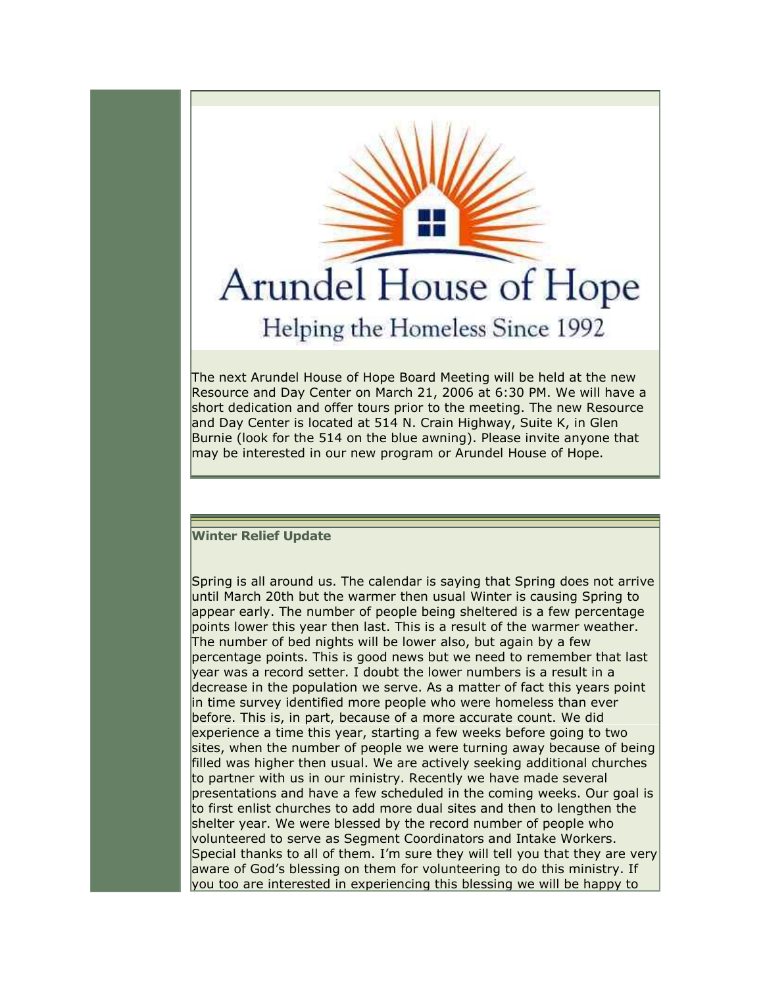

appear early. The number of people being sheltered is a few percentage points lower this year then last. This is a result of the warmer weather. The number of bed nights will be lower also, but again by a few percentage points. This is good news but we need to remember that last year was a record setter. I doubt the lower numbers is a result in a decrease in the population we serve. As a matter of fact this years point in time survey identified more people who were homeless than ever before. This is, in part, because of a more accurate count. We did experience a time this year, starting a few weeks before going to two sites, when the number of people we were turning away because of being filled was higher then usual. We are actively seeking additional churches to partner with us in our ministry. Recently we have made several presentations and have a few scheduled in the coming weeks. Our goal is to first enlist churches to add more dual sites and then to lengthen the shelter year. We were blessed by the record number of people who volunteered to serve as Segment Coordinators and Intake Workers. Special thanks to all of them. I'm sure they will tell you that they are very aware of God's blessing on them for volunteering to do this ministry. If you too are interested in experiencing this blessing we will be happy to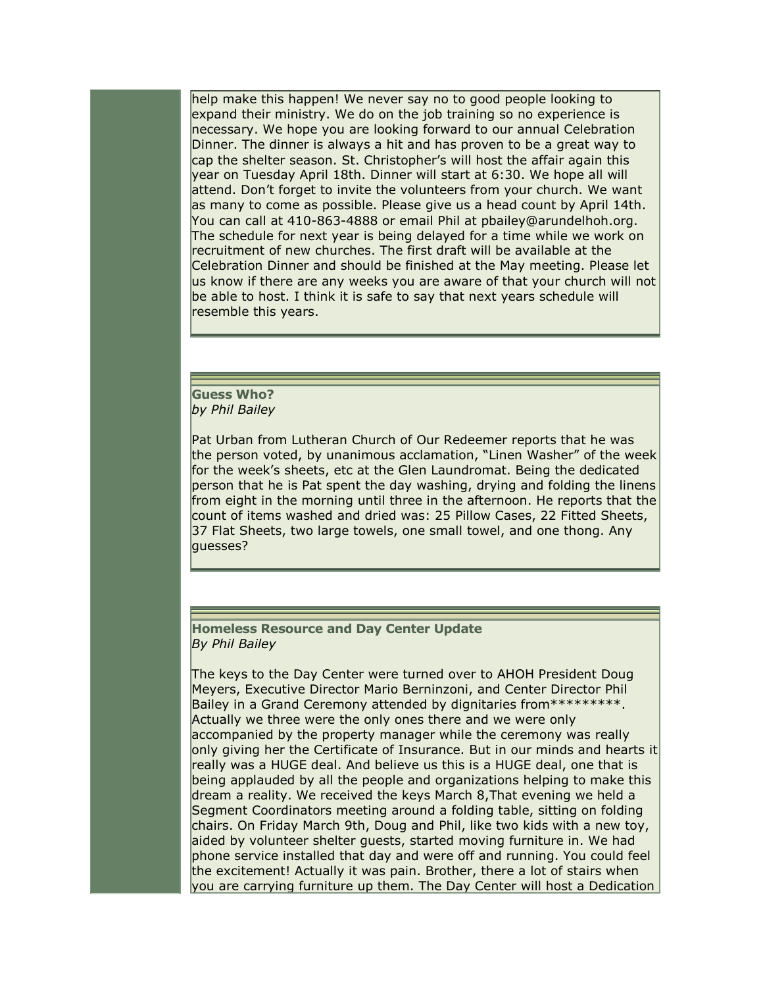help make this happen! We never say no to good people looking to expand their ministry. We do on the job training so no experience is necessary. We hope you are looking forward to our annual Celebration Dinner. The dinner is always a hit and has proven to be a great way to cap the shelter season. St. Christopher's will host the affair again this year on Tuesday April 18th. Dinner will start at 6:30. We hope all will attend. Don't forget to invite the volunteers from your church. We want as many to come as possible. Please give us a head count by April 14th. You can call at 410-863-4888 or email Phil at pbailey@arundelhoh.org. The schedule for next year is being delayed for a time while we work on recruitment of new churches. The first draft will be available at the Celebration Dinner and should be finished at the May meeting. Please let us know if there are any weeks you are aware of that your church will not be able to host. I think it is safe to say that next years schedule will resemble this years.

**Guess Who?**  *by Phil Bailey* 

Pat Urban from Lutheran Church of Our Redeemer reports that he was the person voted, by unanimous acclamation, "Linen Washer" of the week for the week's sheets, etc at the Glen Laundromat. Being the dedicated person that he is Pat spent the day washing, drying and folding the linens from eight in the morning until three in the afternoon. He reports that the count of items washed and dried was: 25 Pillow Cases, 22 Fitted Sheets, 37 Flat Sheets, two large towels, one small towel, and one thong. Any guesses?

**Homeless Resource and Day Center Update**  *By Phil Bailey* 

The keys to the Day Center were turned over to AHOH President Doug Meyers, Executive Director Mario Berninzoni, and Center Director Phil Bailey in a Grand Ceremony attended by dignitaries from\*\*\*\*\*\*\*\*\*\*. Actually we three were the only ones there and we were only accompanied by the property manager while the ceremony was really only giving her the Certificate of Insurance. But in our minds and hearts it really was a HUGE deal. And believe us this is a HUGE deal, one that is being applauded by all the people and organizations helping to make this dream a reality. We received the keys March 8,That evening we held a Segment Coordinators meeting around a folding table, sitting on folding chairs. On Friday March 9th, Doug and Phil, like two kids with a new toy, aided by volunteer shelter guests, started moving furniture in. We had phone service installed that day and were off and running. You could feel the excitement! Actually it was pain. Brother, there a lot of stairs when you are carrying furniture up them. The Day Center will host a Dedication